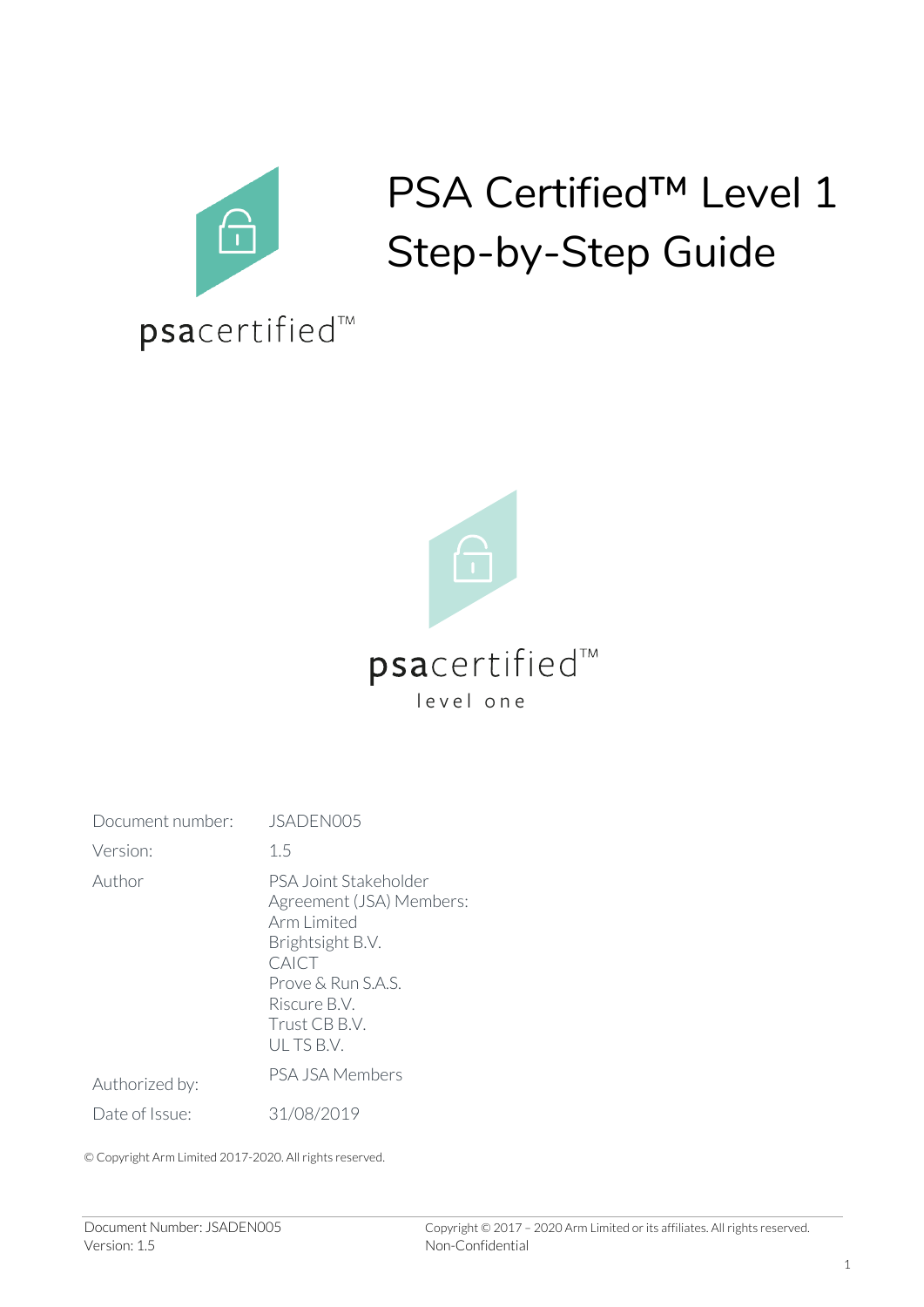

# PSA Certified™ Level 1 Step-by-Step Guide



| Document number: | JSADEN005                                                                                                                                                         |
|------------------|-------------------------------------------------------------------------------------------------------------------------------------------------------------------|
| Version:         | 1.5                                                                                                                                                               |
| Author           | PSA Joint Stakeholder<br>Agreement (JSA) Members:<br>Arm Limited<br>Brightsight B.V.<br>CAICT<br>Prove & Run S.A.S.<br>Riscure B.V.<br>Trust CB B.V.<br>ULTS B.V. |
| Authorized by:   | PSA JSA Members                                                                                                                                                   |
| Date of Issue:   | 31/08/2019                                                                                                                                                        |

© Copyright Arm Limited 2017-2020. All rights reserved.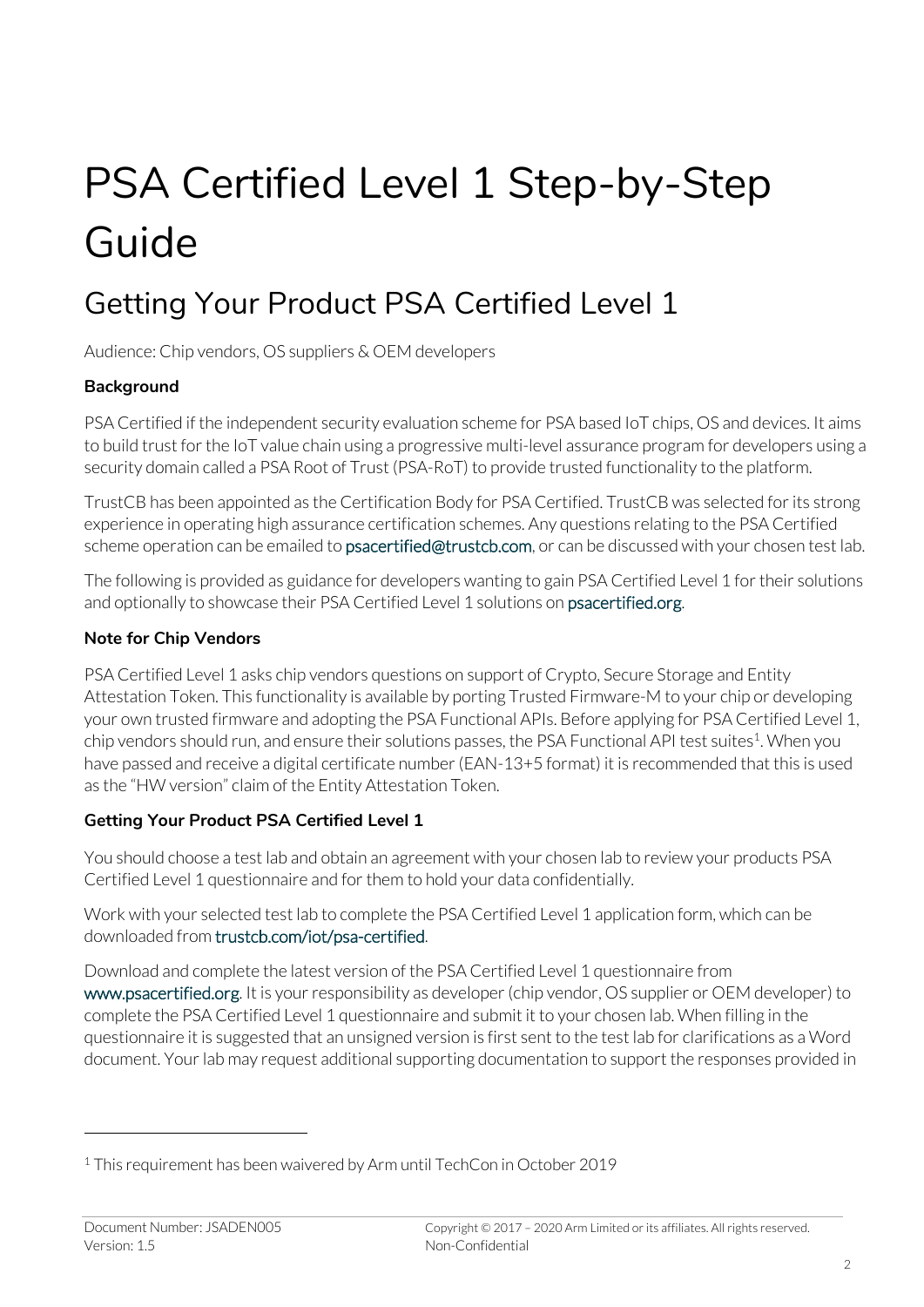# PSA Certified Level 1 Step-by-Step Guide

# Getting Your Product PSA Certified Level 1

Audience: Chip vendors, OS suppliers & OEM developers

## **Background**

PSA Certified if the independent security evaluation scheme for PSA based IoT chips, OS and devices. It aims to build trust for the IoT value chain using a progressive multi-level assurance program for developers using a security domain called a PSA Root of Trust (PSA-RoT) to provide trusted functionality to the platform.

TrustCB has been appointed as the Certification Body for PSA Certified. TrustCB was selected for its strong experience in operating high assurance certification schemes. Any questions relating to the PSA Certified scheme operation can be emailed to psacertified@trustcb.com, or can be discussed with your chosen test lab.

The following is provided as guidance for developers wanting to gain PSA Certified Level 1 for their solutions and optionally to showcase their PSA Certified Level 1 solutions on psacertified.org.

## **Note for Chip Vendors**

PSA Certified Level 1 asks chip vendors questions on support of Crypto, Secure Storage and Entity Attestation Token. This functionality is available by porting Trusted Firmware-M to your chip or developing your own trusted firmware and adopting the PSA Functional APIs. Before applying for PSA Certified Level 1, chip vendors should run, and ensure their solutions passes, the PSA Functional API test suites<sup>1</sup>. When you have passed and receive a digital certificate number (EAN-13+5 format) it is recommended that this is used as the "HW version" claim of the Entity Attestation Token.

## **Getting Your Product PSA Certified Level 1**

You should choose a test lab and obtain an agreement with your chosen lab to review your products PSA Certified Level 1 questionnaire and for them to hold your data confidentially.

Work with your selected test lab to complete the PSA Certified Level 1 application form, which can be downloaded from trustcb.com/iot/psa-certified.

Download and complete the latest version of the PSA Certified Level 1 questionnaire from www.psacertified.org. It is your responsibility as developer (chip vendor, OS supplier or OEM developer) to complete the PSA Certified Level 1 questionnaire and submit it to your chosen lab. When filling in the questionnaire it is suggested that an unsigned version is first sent to the test lab for clarifications as a Word document. Your lab may request additional supporting documentation to support the responses provided in

<sup>1</sup> This requirement has been waivered by Arm until TechCon in October 2019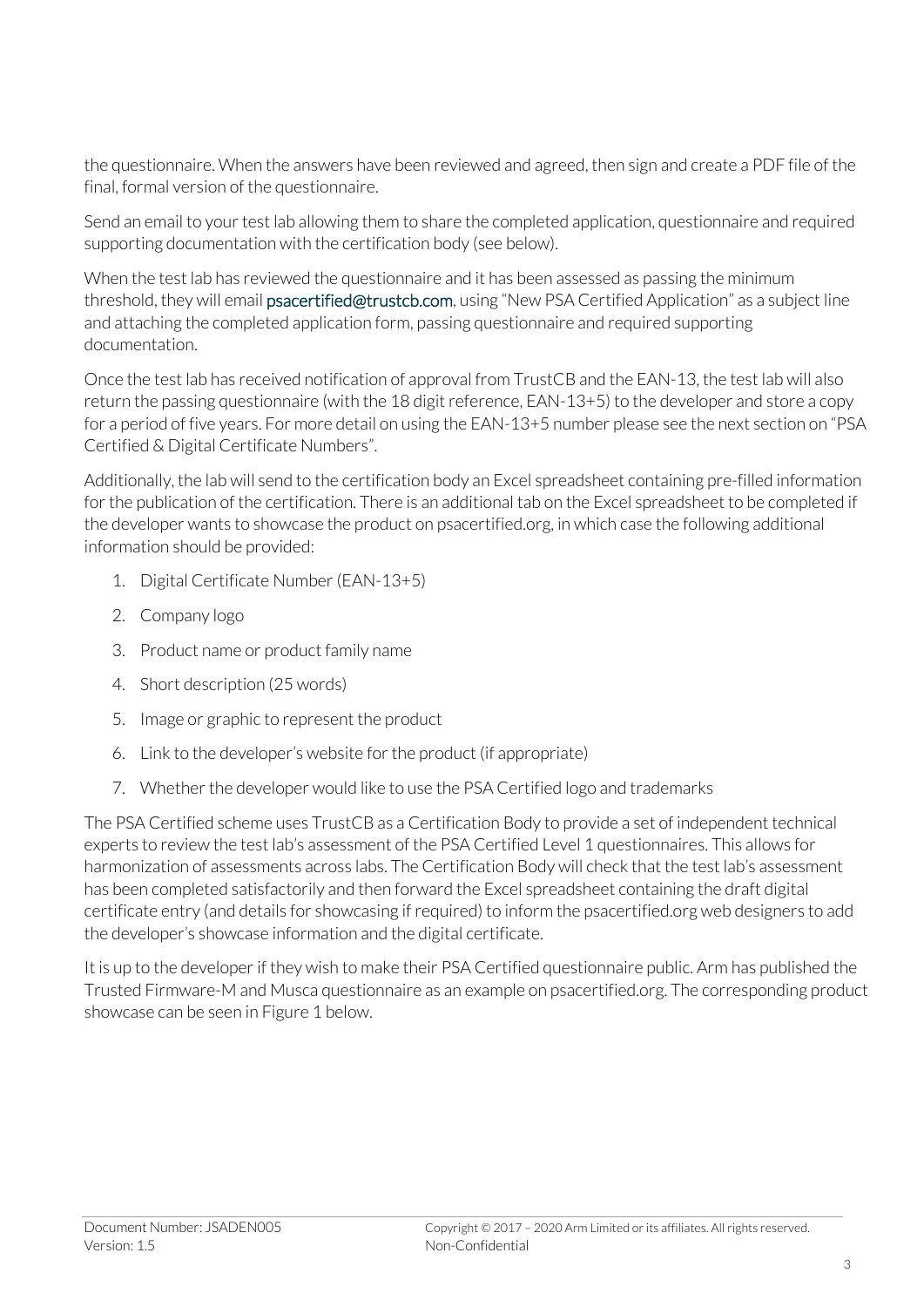the questionnaire. When the answers have been reviewed and agreed, then sign and create a PDF file of the final, formal version of the questionnaire.

Send an email to your test lab allowing them to share the completed application, questionnaire and required supporting documentation with the certification body (see below).

When the test lab has reviewed the questionnaire and it has been assessed as passing the minimum threshold, they will email psacertified@trustcb.com, using "New PSA Certified Application" as a subject line and attaching the completed application form, passing questionnaire and required supporting documentation.

Once the test lab has received notification of approval from TrustCB and the EAN-13, the test lab will also return the passing questionnaire (with the 18 digit reference, EAN-13+5) to the developer and store a copy for a period of five years. For more detail on using the EAN-13+5 number please see the next section on "PSA Certified & Digital Certificate Numbers".

Additionally, the lab will send to the certification body an Excel spreadsheet containing pre-filled information for the publication of the certification. There is an additional tab on the Excel spreadsheet to be completed if the developer wants to showcase the product on psacertified.org, in which case the following additional information should be provided:

- 1. Digital Certificate Number (EAN-13+5)
- 2. Company logo
- 3. Product name or product family name
- 4. Short description (25 words)
- 5. Image or graphic to represent the product
- 6. Link to the developer's website for the product (if appropriate)
- 7. Whether the developer would like to use the PSA Certified logo and trademarks

The PSA Certified scheme uses TrustCB as a Certification Body to provide a set of independent technical experts to review the test lab's assessment of the PSA Certified Level 1 questionnaires. This allows for harmonization of assessments across labs. The Certification Body will check that the test lab's assessment has been completed satisfactorily and then forward the Excel spreadsheet containing the draft digital certificate entry (and details for showcasing if required) to inform the psacertified.org web designers to add the developer's showcase information and the digital certificate.

It is up to the developer if they wish to make their PSA Certified questionnaire public. Arm has published the Trusted Firmware-M and Musca questionnaire as an example on psacertified.org. The corresponding product showcase can be seen in Figure 1 below.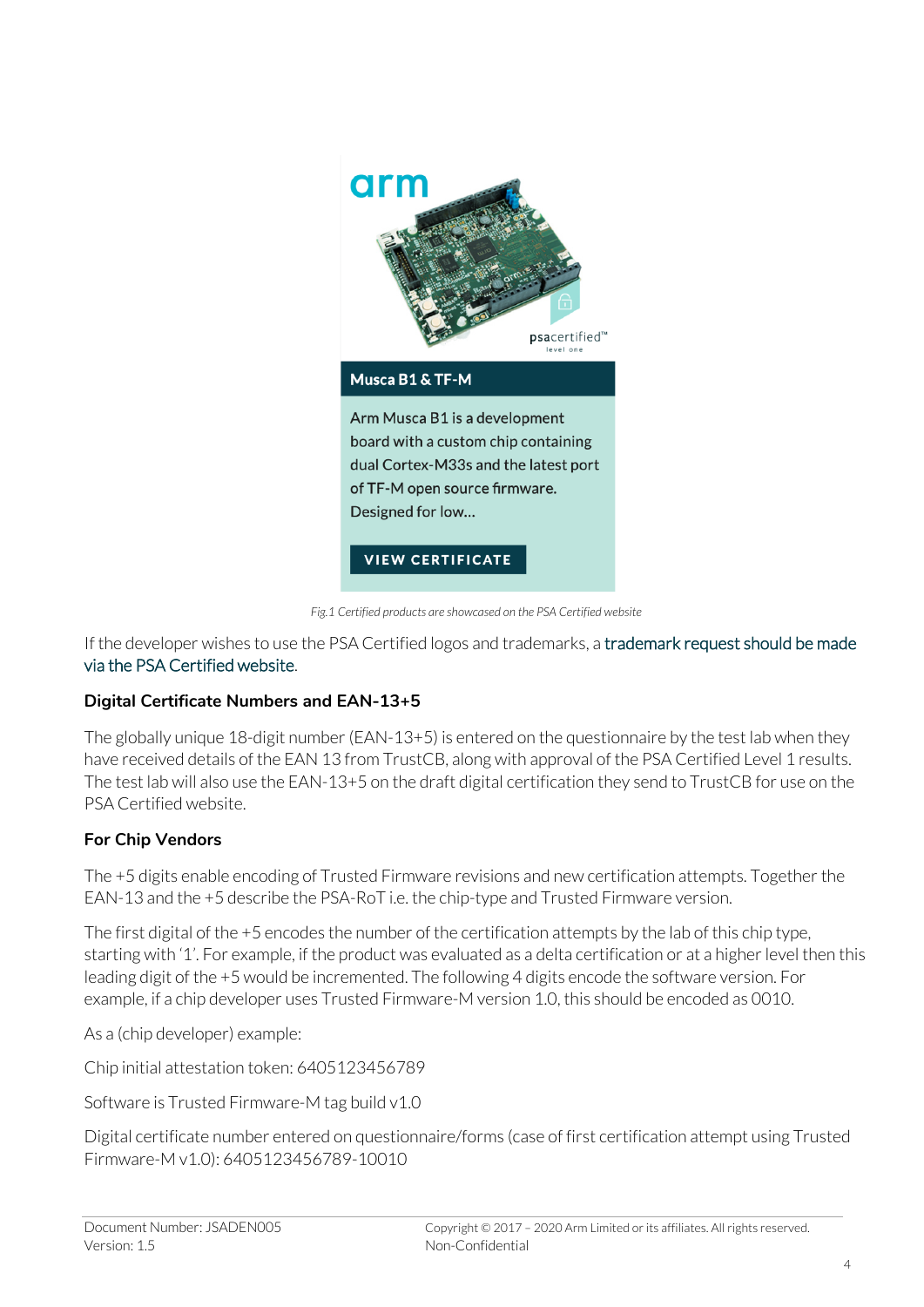

*Fig.1 Certified products are showcased on the PSA Certified website*

If the developer wishes to use the PSA Certified logos and trademarks, a trademark request should be made via the PSA Certified website.

#### **Digital Certificate Numbers and EAN-13+5**

The globally unique 18-digit number (EAN-13+5) is entered on the questionnaire by the test lab when they have received details of the EAN 13 from TrustCB, along with approval of the PSA Certified Level 1 results. The test lab will also use the EAN-13+5 on the draft digital certification they send to TrustCB for use on the PSA Certified website.

#### **For Chip Vendors**

The +5 digits enable encoding of Trusted Firmware revisions and new certification attempts. Together the EAN-13 and the +5 describe the PSA-RoT i.e. the chip-type and Trusted Firmware version.

The first digital of the +5 encodes the number of the certification attempts by the lab of this chip type, starting with '1'. For example, if the product was evaluated as a delta certification or at a higher level then this leading digit of the +5 would be incremented. The following 4 digits encode the software version. For example, if a chip developer uses Trusted Firmware-M version 1.0, this should be encoded as 0010.

As a (chip developer) example:

Chip initial attestation token: 6405123456789

Software is Trusted Firmware-M tag build v1.0

Digital certificate number entered on questionnaire/forms (case of first certification attempt using Trusted Firmware-M v1.0): 6405123456789-10010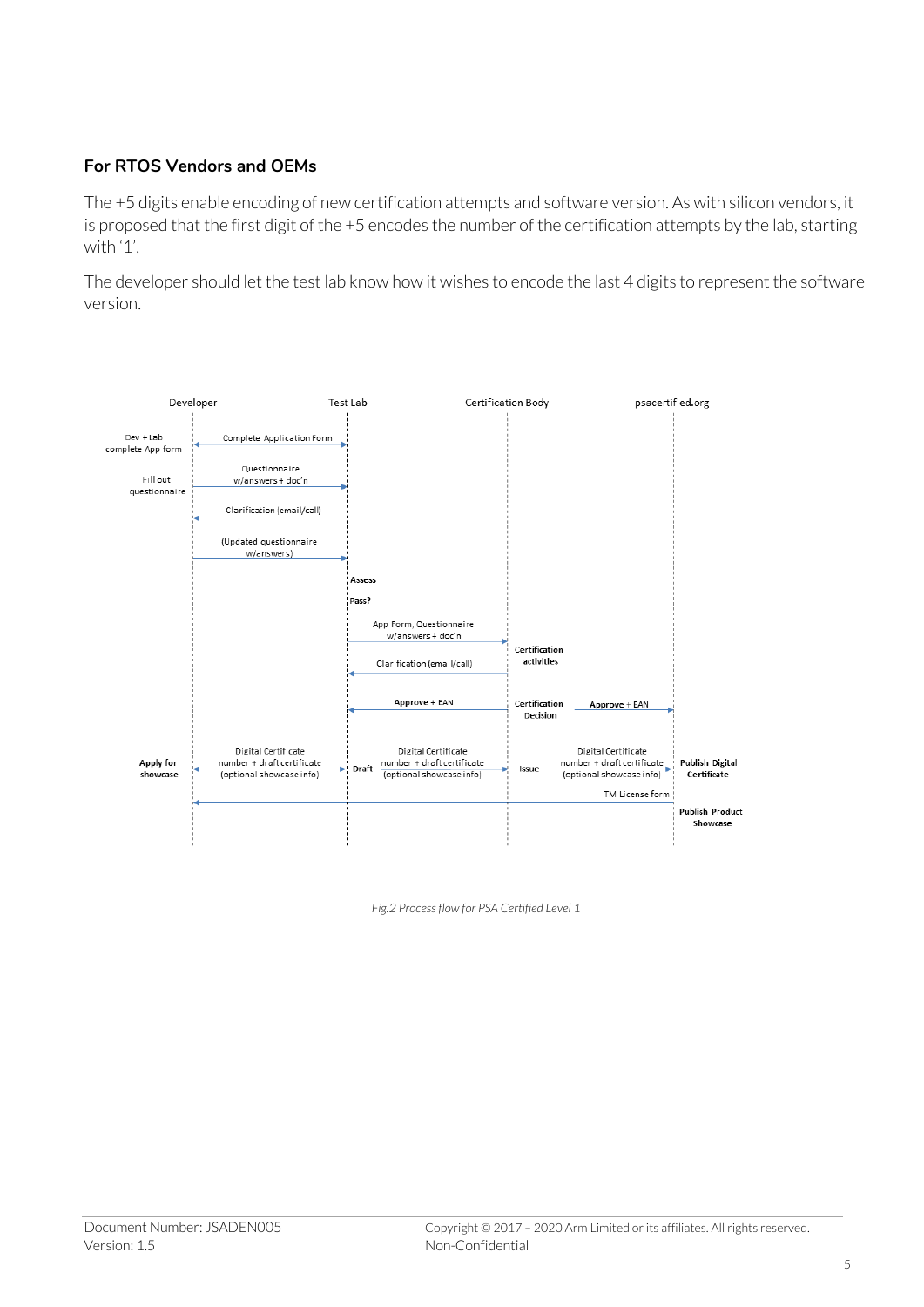#### **For RTOS Vendors and OEMs**

The +5 digits enable encoding of new certification attempts and software version. As with silicon vendors, it is proposed that the first digit of the +5 encodes the number of the certification attempts by the lab, starting with '1'.

The developer should let the test lab know how it wishes to encode the last 4 digits to represent the software version.



*Fig.2 Process flow for PSA Certified Level 1*